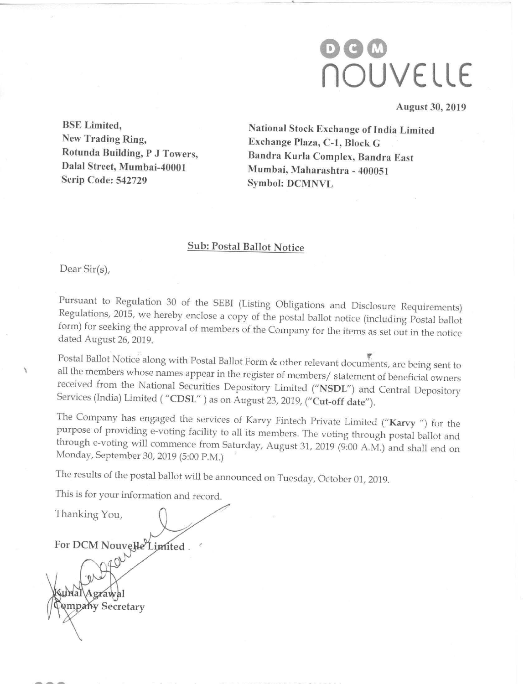# 000 flOUVELLE

August 30, 2019

New Trading Ring, Exchange Plaza, C-1, Block G<br>Rotunda Building, P J Towers, Bandra Kurla Complex Band Dalal Street, Mumbai-40001<br>Scrip Code: 542729

BSE Limited,<br>
National Stock Exchange of India Limited<br>
New Trading Ring,<br>
Exchange Plaza C-1 Block C Bandra Kurla Complex, Bandra East Mumbai, Maharashtra - 400051 Symbol: DCMNVL

# Sub: Postal Ballot Notice

Dear Sir(s),

Pursuant to Regulation 30 of the SEBI (Listing Obligations and Disclosure Requirements) Regulations, 2015, we hereby enclose a copy of the postal ballot notice (including Postal ballot form) for seeking the approval of members of the Company for the items as set out in the notice dated August 26, 2019.

Postal Ballot Notice along with Postal Ballot Form & other relevant documents, are being sent to all the members whose names appear in the register of members/ statement of beneficial owners received from the National Securities Depository Limited ("NSDL") and Central Depository " $\left( \text{CDSL}^{\prime\prime}\right)$  as on August 23, 2019, (" $\left( \text{Cut-off date}^{\prime\prime}\right)$ .

The Company has engaged the services of Karvy Fintech Private Limited ("Karvy ") for the purpose of providing e-voting facility to all its members. The voting through postal ballot and through e-voting will commence from Saturday, August 31, <sup>2019</sup> (9:00 A.M.) and shall end on Monday, September 30, 2019 (5:00 PM.)

The results of the postal ballot will be announced on Tuesday, October 01, 2019.

This is for your information and record.

Thanking You, For DCM Nouvelle Limited. Agrawal **Ampany Secretary**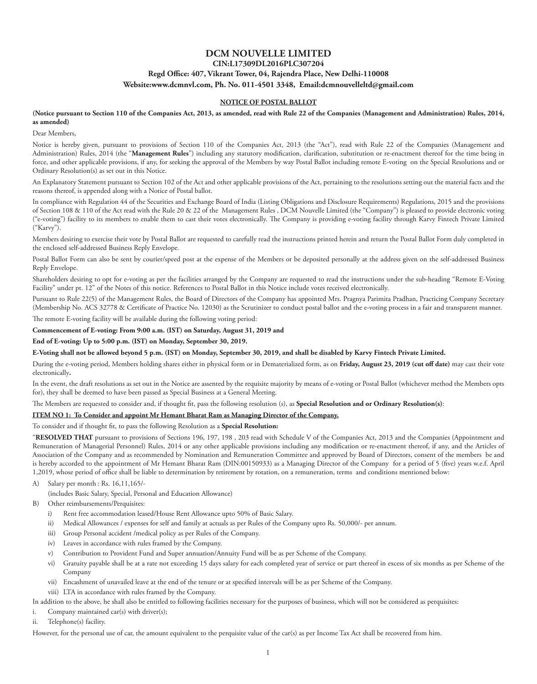## **DCM NOUVELLE LIMITED CIN:L17309DL2016PLC307204 Regd Office: 407, Vikrant Tower, 04, Rajendra Place, New Delhi-110008 Website:www.dcmnvl.com, Ph. No. 011-4501 3348, Email:dcmnouvelleltd@gmail.com**

## **NOTICE OF POSTAL BALLOT**

#### **(Notice pursuant to Section 110 of the Companies Act, 2013, as amended, read with Rule 22 of the Companies (Management and Administration) Rules, 2014, as amended)**

Dear Members,

Notice is hereby given, pursuant to provisions of Section 110 of the Companies Act, 2013 (the "Act"), read with Rule 22 of the Companies (Management and Administration) Rules, 2014 (the "**Management Rules**") including any statutory modification, clarification, substitution or re-enactment thereof for the time being in force, and other applicable provisions, if any, for seeking the approval of the Members by way Postal Ballot including remote E-voting on the Special Resolutions and or Ordinary Resolution(s) as set out in this Notice.

An Explanatory Statement pursuant to Section 102 of the Act and other applicable provisions of the Act, pertaining to the resolutions setting out the material facts and the reasons thereof, is appended along with a Notice of Postal ballot.

In compliance with Regulation 44 of the Securities and Exchange Board of India (Listing Obligations and Disclosure Requirements) Regulations, 2015 and the provisions of Section 108 & 110 of the Act read with the Rule 20 & 22 of the Management Rules , DCM Nouvelle Limited (the "Company") is pleased to provide electronic voting ("e-voting") facility to its members to enable them to cast their votes electronically. The Company is providing e-voting facility through Karvy Fintech Private Limited ("Karvy").

Members desiring to exercise their vote by Postal Ballot are requested to carefully read the instructions printed herein and return the Postal Ballot Form duly completed in the enclosed self-addressed Business Reply Envelope.

Postal Ballot Form can also be sent by courier/speed post at the expense of the Members or be deposited personally at the address given on the self-addressed Business Reply Envelope.

Shareholders desiring to opt for e-voting as per the facilities arranged by the Company are requested to read the instructions under the sub-heading "Remote E-Voting Facility" under pt. 12" of the Notes of this notice. References to Postal Ballot in this Notice include votes received electronically.

Pursuant to Rule 22(5) of the Management Rules, the Board of Directors of the Company has appointed Mrs. Pragnya Parimita Pradhan, Practicing Company Secretary (Membership No. ACS 32778 & Certificate of Practice No. 12030) as the Scrutinizer to conduct postal ballot and the e-voting process in a fair and transparent manner.

The remote E-voting facility will be available during the following voting period:

#### **Commencement of E-voting: From 9:00 a.m. (IST) on Saturday, August 31, 2019 and**

**End of E-voting: Up to 5:00 p.m. (IST) on Monday, September 30, 2019.**

## **E-Voting shall not be allowed beyond 5 p.m. (IST) on Monday, September 30, 2019, and shall be disabled by Karvy Fintech Private Limited.**

During the e-voting period, Members holding shares either in physical form or in Dematerialized form, as on **Friday, August 23, 2019 (cut off date)** may cast their vote electronically**.**

In the event, the draft resolutions as set out in the Notice are assented by the requisite majority by means of e-voting or Postal Ballot (whichever method the Members opts for), they shall be deemed to have been passed as Special Business at a General Meeting.

The Members are requested to consider and, if thought fit, pass the following resolution (s), as **Special Resolution and or Ordinary Resolution(s)**:

#### **ITEM NO 1: To Consider and appoint Mr Hemant Bharat Ram as Managing Director of the Company.**

To consider and if thought fit, to pass the following Resolution as a **Special Resolution:**

"**RESOLVED THAT** pursuant to provisions of Sections 196, 197, 198 , 203 read with Schedule V of the Companies Act, 2013 and the Companies (Appointment and Remuneration of Managerial Personnel) Rules, 2014 or any other applicable provisions including any modification or re-enactment thereof, if any, and the Articles of Association of the Company and as recommended by Nomination and Remuneration Committee and approved by Board of Directors, consent of the members be and is hereby accorded to the appointment of Mr Hemant Bharat Ram (DIN:00150933) as a Managing Director of the Company for a period of 5 (five) years w.e.f. April 1,2019, whose period of office shall be liable to determination by retirement by rotation, on a remuneration, terms and conditions mentioned below:

A) Salary per month : Rs. 16,11,165/-

(includes Basic Salary, Special, Personal and Education Allowance)

- B) Other reimbursements/Perquisites:
	- i) Rent free accommodation leased/House Rent Allowance upto 50% of Basic Salary.
	- ii) Medical Allowances / expenses for self and family at actuals as per Rules of the Company upto Rs. 50,000/- per annum.
	- iii) Group Personal accident /medical policy as per Rules of the Company.
	- iv) Leaves in accordance with rules framed by the Company.
	- v) Contribution to Provident Fund and Super annuation/Annuity Fund will be as per Scheme of the Company.
	- vi) Gratuity payable shall be at a rate not exceeding 15 days salary for each completed year of service or part thereof in excess of six months as per Scheme of the Company
	- vii) Encashment of unavailed leave at the end of the tenure or at specified intervals will be as per Scheme of the Company.
	- viii) LTA in accordance with rules framed by the Company.

In addition to the above, he shall also be entitled to following facilities necessary for the purposes of business, which will not be considered as perquisites:

- i. Company maintained car(s) with driver(s);
- ii. Telephone(s) facility.

However, for the personal use of car, the amount equivalent to the perquisite value of the car(s) as per Income Tax Act shall be recovered from him.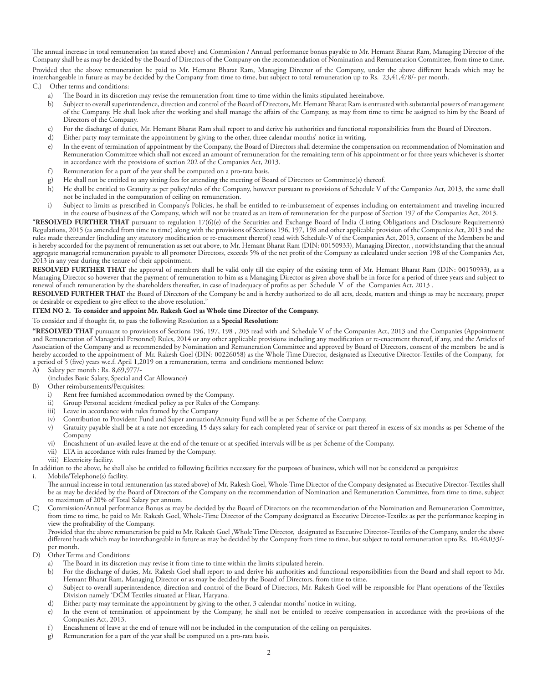The annual increase in total remuneration (as stated above) and Commission / Annual performance bonus payable to Mr. Hemant Bharat Ram, Managing Director of the Company shall be as may be decided by the Board of Directors of the Company on the recommendation of Nomination and Remuneration Committee, from time to time. Provided that the above remuneration be paid to Mr. Hemant Bharat Ram, Managing Director of the Company, under the above different heads which may be interchangeable in future as may be decided by the Company from time to time, but subject to total remuneration up to Rs. 23,41,478/- per month. C.) Other terms and conditions:

- a) The Board in its discretion may revise the remuneration from time to time within the limits stipulated hereinabove.
- b) Subject to overall superintendence, direction and control of the Board of Directors, Mr. Hemant Bharat Ram is entrusted with substantial powers of management of the Company. He shall look after the working and shall manage the affairs of the Company, as may from time to time be assigned to him by the Board of Directors of the Company.
- c) For the discharge of duties, Mr. Hemant Bharat Ram shall report to and derive his authorities and functional responsibilities from the Board of Directors.
- d) Either party may terminate the appointment by giving to the other, three calendar months' notice in writing.
- e) In the event of termination of appointment by the Company, the Board of Directors shall determine the compensation on recommendation of Nomination and Remuneration Committee which shall not exceed an amount of remuneration for the remaining term of his appointment or for three years whichever is shorter in accordance with the provisions of section 202 of the Companies Act, 2013.
- f) Remuneration for a part of the year shall be computed on a pro-rata basis.
- g) He shall not be entitled to any sitting fees for attending the meeting of Board of Directors or Committee(s) thereof.
- h) He shall be entitled to Gratuity as per policy/rules of the Company, however pursuant to provisions of Schedule V of the Companies Act, 2013, the same shall not be included in the computation of ceiling on remuneration.
- i) Subject to limits as prescribed in Company's Policies, he shall be entitled to re-imbursement of expenses including on entertainment and traveling incurred in the course of business of the Company, which will not be treated as an item of remuneration for the purpose of Section 197 of the Companies Act, 2013.

"**RESOLVED FURTHER THAT** pursuant to regulation 17(6)(e) of the Securities and Exchange Board of India (Listing Obligations and Disclosure Requirements) Regulations, 2015 (as amended from time to time) along with the provisions of Sections 196, 197, 198 and other applicable provision of the Companies Act, 2013 and the rules made thereunder (including any statutory modification or re-enactment thereof) read with Schedule-V of the Companies Act, 2013, consent of the Members be and is hereby accorded for the payment of remuneration as set out above, to Mr. Hemant Bharat Ram (DIN: 00150933), Managing Director, , notwithstanding that the annual aggregate managerial remuneration payable to all promoter Directors, exceeds 5% of the net profit of the Company as calculated under section 198 of the Companies Act, 2013 in any year during the tenure of their appointment.

RESOLVED FURTHER THAT the approval of members shall be valid only till the expiry of the existing term of Mr. Hemant Bharat Ram (DIN: 00150933), as a Managing Director so however that the payment of remuneration to him as a Managing Director as given above shall be in force for a period of three years and subject to renewal of such remuneration by the shareholders thereafter, in case of inadequacy of profits as per Schedule V of the Companies Act, 2013 .

**RESOLVED FURTHER THAT** the Board of Directors of the Company be and is hereby authorized to do all acts, deeds, matters and things as may be necessary, proper or desirable or expedient to give effect to the above resolution."

#### **ITEM NO 2. To consider and appoint Mr. Rakesh Goel as Whole time Director of the Company.**

To consider and if thought fit, to pass the following Resolution as a **Special Resolution:**

**"RESOLVED THAT** pursuant to provisions of Sections 196, 197, 198 , 203 read with and Schedule V of the Companies Act, 2013 and the Companies (Appointment and Remuneration of Managerial Personnel) Rules, 2014 or any other applicable provisions including any modification or re-enactment thereof, if any, and the Articles of Association of the Company and as recommended by Nomination and Remuneration Committee and approved by Board of Directors, consent of the members be and is hereby accorded to the appointment of Mr. Rakesh Goel (DIN: 00226058) as the Whole Time Director, designated as Executive Director-Textiles of the Company, for a period of 5 (five) years w.e.f. April 1,2019 on a remuneration, terms and conditions mentioned below:

- A) Salary per month : Rs. 8,69,977/-
- (includes Basic Salary, Special and Car Allowance)
- B) Other reimbursements/Perquisites:<br>i) Rent free furnished accommo
	- i) Rent free furnished accommodation owned by the Company.<br>ii) Group Personal accident /medical policy as per Rules of the C
	- ii) Group Personal accident /medical policy as per Rules of the Company.<br>iii) Leave in accordance with rules framed by the Company.
	- Leave in accordance with rules framed by the Company
	- iv) Contribution to Provident Fund and Super annuation/Annuity Fund will be as per Scheme of the Company.
	- v) Gratuity payable shall be at a rate not exceeding 15 days salary for each completed year of service or part thereof in excess of six months as per Scheme of the Company
	- vi) Encashment of un-availed leave at the end of the tenure or at specified intervals will be as per Scheme of the Company.
	- vii) LTA in accordance with rules framed by the Company.
	- viii) Electricity facility.

In addition to the above, he shall also be entitled to following facilities necessary for the purposes of business, which will not be considered as perquisites:

i. Mobile/Telephone(s) facility.

The annual increase in total remuneration (as stated above) of Mr. Rakesh Goel, Whole-Time Director of the Company designated as Executive Director-Textiles shall be as may be decided by the Board of Directors of the Company on the recommendation of Nomination and Remuneration Committee, from time to time, subject to maximum of 20% of Total Salary per annum.

C) Commission/Annual performance Bonus as may be decided by the Board of Directors on the recommendation of the Nomination and Remuneration Committee, from time to time, be paid to Mr. Rakesh Goel, Whole-Time Director of the Company designated as Executive Director-Textiles as per the performance keeping in view the profitability of the Company.

Provided that the above remuneration be paid to Mr. Rakesh Goel ,Whole Time Director, designated as Executive Director-Textiles of the Company, under the above different heads which may be interchangeable in future as may be decided by the Company from time to time, but subject to total remuneration upto Rs. 10,40,033/ per month.

- D) Other Terms and Conditions:
	- a) The Board in its discretion may revise it from time to time within the limits stipulated herein.
		- b) For the discharge of duties, Mr. Rakesh Goel shall report to and derive his authorities and functional responsibilities from the Board and shall report to Mr. Hemant Bharat Ram, Managing Director or as may be decided by the Board of Directors, from time to time.
		- c) Subject to overall superintendence, direction and control of the Board of Directors, Mr. Rakesh Goel will be responsible for Plant operations of the Textiles Division namely 'DCM Textiles situated at Hisar, Haryana.
		- d) Either party may terminate the appointment by giving to the other, 3 calendar months' notice in writing.
		- e) In the event of termination of appointment by the Company, he shall not be entitled to receive compensation in accordance with the provisions of the Companies Act, 2013.
		- f) Encashment of leave at the end of tenure will not be included in the computation of the ceiling on perquisites.
		- g) Remuneration for a part of the year shall be computed on a pro-rata basis.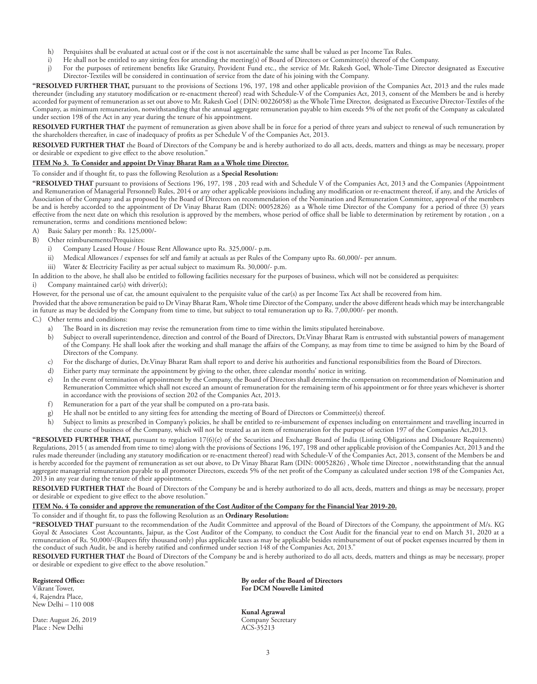- h) Perquisites shall be evaluated at actual cost or if the cost is not ascertainable the same shall be valued as per Income Tax Rules.
- i) He shall not be entitled to any sitting fees for attending the meeting(s) of Board of Directors or Committee(s) thereof of the Company.
- j) For the purposes of retirement benefits like Gratuity, Provident Fund etc., the service of Mr. Rakesh Goel, Whole-Time Director designated as Executive Director-Textiles will be considered in continuation of service from the date of his joining with the Company.

**"RESOLVED FURTHER THAT,** pursuant to the provisions of Sections 196, 197, 198 and other applicable provision of the Companies Act, 2013 and the rules made thereunder (including any statutory modification or re-enactment thereof) read with Schedule-V of the Companies Act, 2013, consent of the Members be and is hereby accorded for payment of remuneration as set out above to Mr. Rakesh Goel ( DIN: 00226058) as the Whole Time Director, designated as Executive Director-Textiles of the Company, as minimum remuneration, notwithstanding that the annual aggregate remuneration payable to him exceeds 5% of the net profit of the Company as calculated under section 198 of the Act in any year during the tenure of his appointment.

**RESOLVED FURTHER THAT** the payment of remuneration as given above shall be in force for a period of three years and subject to renewal of such remuneration by the shareholders thereafter, in case of inadequacy of profits as per Schedule V of the Companies Act, 2013.

**RESOLVED FURTHER THAT** the Board of Directors of the Company be and is hereby authorized to do all acts, deeds, matters and things as may be necessary, proper or desirable or expedient to give effect to the above resolution."

#### **ITEM No 3. To Consider and appoint Dr Vinay Bharat Ram as a Whole time Director.**

#### To consider and if thought fit, to pass the following Resolution as a **Special Resolution:**

**"RESOLVED THAT** pursuant to provisions of Sections 196, 197, 198 , 203 read with and Schedule V of the Companies Act, 2013 and the Companies (Appointment and Remuneration of Managerial Personnel) Rules, 2014 or any other applicable provisions including any modification or re-enactment thereof, if any, and the Articles of Association of the Company and as proposed by the Board of Directors on recommendation of the Nomination and Remuneration Committee, approval of the members be and is hereby accorded to the appointment of Dr Vinay Bharat Ram (DIN: 00052826) as a Whole time Director of the Company for a period of three (3) years effective from the next date on which this resolution is approved by the members, whose period of office shall be liable to determination by retirement by rotation , on a remuneration, terms and conditions mentioned below:

- A) Basic Salary per month : Rs. 125,000/-
- B) Other reimbursements/Perquisites:
	- i) Company Leased House / House Rent Allowance upto Rs. 325,000/- p.m.
	- ii) Medical Allowances / expenses for self and family at actuals as per Rules of the Company upto Rs. 60,000/- per annum.
		- iii) Water & Electricity Facility as per actual subject to maximum Rs. 30,000/- p.m.

In addition to the above, he shall also be entitled to following facilities necessary for the purposes of business, which will not be considered as perquisites:

Company maintained car(s) with driver(s);

However, for the personal use of car, the amount equivalent to the perquisite value of the car(s) as per Income Tax Act shall be recovered from him.

Provided that the above remuneration be paid to Dr Vinay Bharat Ram, Whole time Director of the Company, under the above different heads which may be interchangeable in future as may be decided by the Company from time to time, but subject to total remuneration up to Rs. 7,00,000/- per month.

- C.) Other terms and conditions:
	- a) The Board in its discretion may revise the remuneration from time to time within the limits stipulated hereinabove.
	- b) Subject to overall superintendence, direction and control of the Board of Directors, Dr.Vinay Bharat Ram is entrusted with substantial powers of management of the Company. He shall look after the working and shall manage the affairs of the Company, as may from time to time be assigned to him by the Board of Directors of the Company.
	- c) For the discharge of duties, Dr.Vinay Bharat Ram shall report to and derive his authorities and functional responsibilities from the Board of Directors.
	- d) Either party may terminate the appointment by giving to the other, three calendar months' notice in writing.
	- e) In the event of termination of appointment by the Company, the Board of Directors shall determine the compensation on recommendation of Nomination and Remuneration Committee which shall not exceed an amount of remuneration for the remaining term of his appointment or for three years whichever is shorter in accordance with the provisions of section 202 of the Companies Act, 2013.
	- f) Remuneration for a part of the year shall be computed on a pro-rata basis.
	- g) He shall not be entitled to any sitting fees for attending the meeting of Board of Directors or Committee(s) thereof.

h) Subject to limits as prescribed in Company's policies, he shall be entitled to re-imbursement of expenses including on entertainment and travelling incurred in the course of business of the Company, which will not be treated as an item of remuneration for the purpose of section 197 of the Companies Act,2013.

**"RESOLVED FURTHER THAT,** pursuant to regulation 17(6)(e) of the Securities and Exchange Board of India (Listing Obligations and Disclosure Requirements) Regulations, 2015 ( as amended from time to time) along with the provisions of Sections 196, 197, 198 and other applicable provision of the Companies Act, 2013 and the rules made thereunder (including any statutory modification or re-enactment thereof) read with Schedule-V of the Companies Act, 2013, consent of the Members be and is hereby accorded for the payment of remuneration as set out above, to Dr Vinay Bharat Ram (DIN: 00052826) , Whole time Director , notwithstanding that the annual aggregate managerial remuneration payable to all promoter Directors, exceeds 5% of the net profit of the Company as calculated under section 198 of the Companies Act, 2013 in any year during the tenure of their appointment.

**RESOLVED FURTHER THAT** the Board of Directors of the Company be and is hereby authorized to do all acts, deeds, matters and things as may be necessary, proper or desirable or expedient to give effect to the above resolution."

## **ITEM No. 4 To consider and approve the remuneration of the Cost Auditor of the Company for the Financial Year 2019-20.**

To consider and if thought fit, to pass the following Resolution as an **Ordinary Resolution:**

**"RESOLVED THAT** pursuant to the recommendation of the Audit Committee and approval of the Board of Directors of the Company, the appointment of M/s. KG Goyal & Associates Cost Accountants, Jaipur, as the Cost Auditor of the Company, to conduct the Cost Audit for the financial year to end on March 31, 2020 at a remuneration of Rs. 50,000/-(Rupees fifty thousand only) plus applicable taxes as may be applicable besides reimbursement of out of pocket expenses incurred by them in the conduct of such Audit, be and is hereby ratified and confirmed under section 148 of the Companies Act, 2013."

**RESOLVED FURTHER THAT** the Board of Directors of the Company be and is hereby authorized to do all acts, deeds, matters and things as may be necessary, proper or desirable or expedient to give effect to the above resolution."

#### **Registered Office:**

Vikrant Tower, 4, Rajendra Place, New Delhi – 110 008

Date: August 26, 2019 Place : New Delhi

**By order of the Board of Directors For DCM Nouvelle Limited**

**Kunal Agrawal** Company Secretary ACS-35213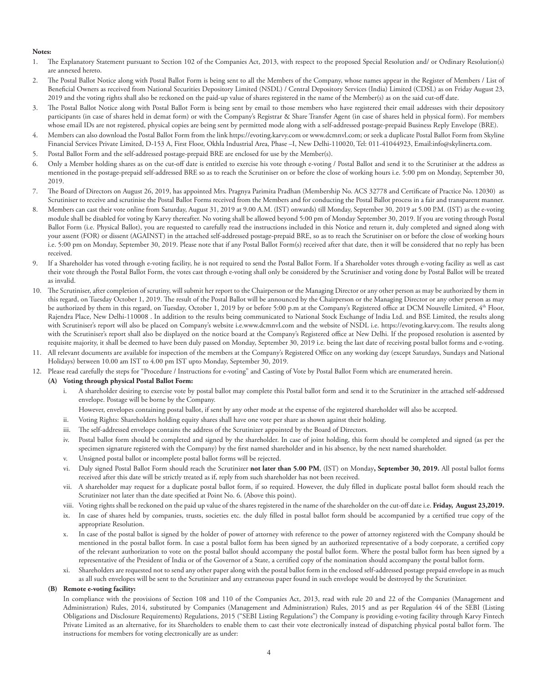#### **Notes:**

- 1. The Explanatory Statement pursuant to Section 102 of the Companies Act, 2013, with respect to the proposed Special Resolution and/ or Ordinary Resolution(s) are annexed hereto.
- 2. The Postal Ballot Notice along with Postal Ballot Form is being sent to all the Members of the Company, whose names appear in the Register of Members / List of Beneficial Owners as received from National Securities Depository Limited (NSDL) / Central Depository Services (India) Limited (CDSL) as on Friday August 23, 2019 and the voting rights shall also be reckoned on the paid-up value of shares registered in the name of the Member(s) as on the said cut-off date.
- 3. The Postal Ballot Notice along with Postal Ballot Form is being sent by email to those members who have registered their email addresses with their depository participants (in case of shares held in demat form) or with the Company's Registrar & Share Transfer Agent (in case of shares held in physical form). For members whose email IDs are not registered, physical copies are being sent by permitted mode along with a self-addressed postage-prepaid Business Reply Envelope (BRE).
- 4. Members can also download the Postal Ballot Form from the link https://evoting.karvy.com or www.dcmnvl.com; or seek a duplicate Postal Ballot Form from Skyline Financial Services Private Limited, D-153 A, First Floor, Okhla Industrial Area, Phase –I, New Delhi-110020, Tel: 011-41044923, Email:info@skylinerta.com.
- 5. Postal Ballot Form and the self-addressed postage-prepaid BRE are enclosed for use by the Member(s).
- 6. Only a Member holding shares as on the cut-off date is entitled to exercise his vote through e-voting / Postal Ballot and send it to the Scrutiniser at the address as mentioned in the postage-prepaid self-addressed BRE so as to reach the Scrutiniser on or before the close of working hours i.e. 5:00 pm on Monday, September 30, 2019.
- 7. The Board of Directors on August 26, 2019, has appointed Mrs. Pragnya Parimita Pradhan (Membership No. ACS 32778 and Certificate of Practice No. 12030) as Scrutiniser to receive and scrutinise the Postal Ballot Forms received from the Members and for conducting the Postal Ballot process in a fair and transparent manner.
- 8. Members can cast their vote online from Saturday, August 31, 2019 at 9.00 A.M. (IST) onwards) till Monday, September 30, 2019 at 5.00 P.M. (IST) as the e-voting module shall be disabled for voting by Karvy thereafter. No voting shall be allowed beyond 5:00 pm of Monday September 30, 2019. If you are voting through Postal Ballot Form (i.e. Physical Ballot), you are requested to carefully read the instructions included in this Notice and return it, duly completed and signed along with your assent (FOR) or dissent (AGAINST) in the attached self-addressed postage-prepaid BRE, so as to reach the Scrutiniser on or before the close of working hours i.e. 5:00 pm on Monday, September 30, 2019. Please note that if any Postal Ballot Form(s) received after that date, then it will be considered that no reply has been received.
- 9. If a Shareholder has voted through e-voting facility, he is not required to send the Postal Ballot Form. If a Shareholder votes through e-voting facility as well as cast their vote through the Postal Ballot Form, the votes cast through e-voting shall only be considered by the Scrutiniser and voting done by Postal Ballot will be treated as invalid.
- 10. The Scrutiniser, after completion of scrutiny, will submit her report to the Chairperson or the Managing Director or any other person as may be authorized by them in this regard, on Tuesday October 1, 2019. The result of the Postal Ballot will be announced by the Chairperson or the Managing Director or any other person as may be authorized by them in this regard, on Tuesday, October 1, 2019 by or before 5:00 p.m at the Company's Registered office at DCM Nouvelle Limited, 4<sup>th</sup> Floor, Rajendra Place, New Delhi-110008 . In addition to the results being communicated to National Stock Exchange of India Ltd. and BSE Limited, the results along with Scrutiniser's report will also be placed on Company's website i.e.www.dcmnvl.com and the website of NSDL i.e. https://evoting.karvy.com. The results along with the Scrutiniser's report shall also be displayed on the notice board at the Company's Registered office at New Delhi. If the proposed resolution is assented by requisite majority, it shall be deemed to have been duly passed on Monday, September 30, 2019 i.e. being the last date of receiving postal ballot forms and e-voting.
- 11. All relevant documents are available for inspection of the members at the Company's Registered Office on any working day (except Saturdays, Sundays and National Holidays) between 10.00 am IST to 4.00 pm IST upto Monday, September 30, 2019.
- 12. Please read carefully the steps for "Procedure / Instructions for e-voting" and Casting of Vote by Postal Ballot Form which are enumerated herein.
	- **(A) Voting through physical Postal Ballot Form:**
		- i. A shareholder desiring to exercise vote by postal ballot may complete this Postal ballot form and send it to the Scrutinizer in the attached self-addressed envelope. Postage will be borne by the Company.
			- However, envelopes containing postal ballot, if sent by any other mode at the expense of the registered shareholder will also be accepted.
		- ii. Voting Rights: Shareholders holding equity shares shall have one vote per share as shown against their holding.
		- iii. The self-addressed envelope contains the address of the Scrutinizer appointed by the Board of Directors.
		- Postal ballot form should be completed and signed by the shareholder. In case of joint holding, this form should be completed and signed (as per the specimen signature registered with the Company) by the first named shareholder and in his absence, by the next named shareholder.
		- v. Unsigned postal ballot or incomplete postal ballot forms will be rejected.
		- vi. Duly signed Postal Ballot Form should reach the Scrutinizer **not later than 5.00 PM**, (IST) on Monday**, September 30, 2019.** All postal ballot forms received after this date will be strictly treated as if, reply from such shareholder has not been received.
		- vii. A shareholder may request for a duplicate postal ballot form, if so required. However, the duly filled in duplicate postal ballot form should reach the Scrutinizer not later than the date specified at Point No. 6. (Above this point).
		- viii. Voting rights shall be reckoned on the paid up value of the shares registered in the name of the shareholder on the cut-off date i.e. **Friday, August 23,2019.**
		- ix. In case of shares held by companies, trusts, societies etc. the duly filled in postal ballot form should be accompanied by a certified true copy of the appropriate Resolution.
		- In case of the postal ballot is signed by the holder of power of attorney with reference to the power of attorney registered with the Company should be mentioned in the postal ballot form. In case a postal ballot form has been signed by an authorized representative of a body corporate, a certified copy of the relevant authorization to vote on the postal ballot should accompany the postal ballot form. Where the postal ballot form has been signed by a representative of the President of India or of the Governor of a State, a certified copy of the nomination should accompany the postal ballot form.
		- Shareholders are requested not to send any other paper along with the postal ballot form in the enclosed self-addressed postage prepaid envelope in as much as all such envelopes will be sent to the Scrutinizer and any extraneous paper found in such envelope would be destroyed by the Scrutinizer.

#### **(B) Remote e-voting facility:**

In compliance with the provisions of Section 108 and 110 of the Companies Act, 2013, read with rule 20 and 22 of the Companies (Management and Administration) Rules, 2014, substituted by Companies (Management and Administration) Rules, 2015 and as per Regulation 44 of the SEBI (Listing Obligations and Disclosure Requirements) Regulations, 2015 ("SEBI Listing Regulations") the Company is providing e-voting facility through Karvy Fintech Private Limited as an alternative, for its Shareholders to enable them to cast their vote electronically instead of dispatching physical postal ballot form. The instructions for members for voting electronically are as under: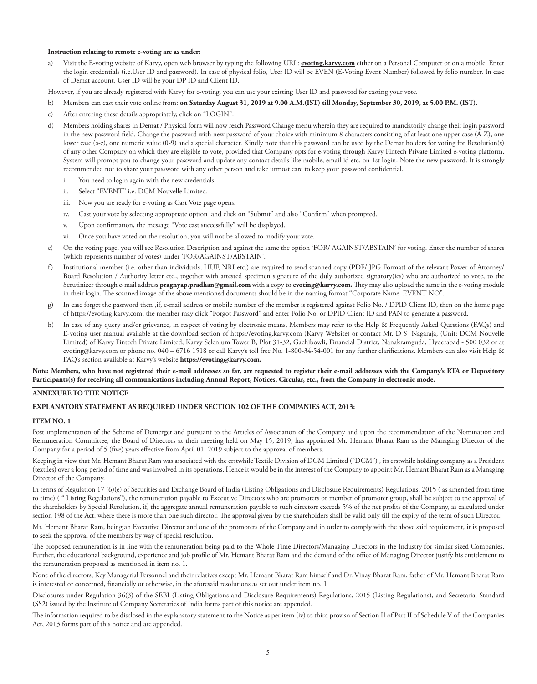#### **Instruction relating to remote e-voting are as under:**

a) Visit the E-voting website of Karvy, open web browser by typing the following URL: **evoting.karvy.com** either on a Personal Computer or on a mobile. Enter the login credentials (i.e.User ID and password). In case of physical folio, User ID will be EVEN (E-Voting Event Number) followed by folio number. In case of Demat account, User ID will be your DP ID and Client ID.

However, if you are already registered with Karvy for e-voting, you can use your existing User ID and password for casting your vote.

- b) Members can cast their vote online from: **on Saturday August 31, 2019 at 9.00 A.M.(IST) till Monday, September 30, 2019, at 5.00 P.M. (IST).**
- c) After entering these details appropriately, click on "LOGIN".
- d) Members holding shares in Demat / Physical form will now reach Password Change menu wherein they are required to mandatorily change their login password in the new password field. Change the password with new password of your choice with minimum 8 characters consisting of at least one upper case (A-Z), one lower case (a-z), one numeric value (0-9) and a special character. Kindly note that this password can be used by the Demat holders for voting for Resolution(s) of any other Company on which they are eligible to vote, provided that Company opts for e-voting through Karvy Fintech Private Limited e-voting platform. System will prompt you to change your password and update any contact details like mobile, email id etc. on 1st login. Note the new password. It is strongly recommended not to share your password with any other person and take utmost care to keep your password confidential.
	- i. You need to login again with the new credentials.
	- ii. Select "EVENT" i.e. DCM Nouvelle Limited.
	- iii. Now you are ready for e-voting as Cast Vote page opens.
	- iv. Cast your vote by selecting appropriate option and click on "Submit" and also "Confirm" when prompted.
	- v. Upon confirmation, the message "Vote cast successfully" will be displayed.
	- vi. Once you have voted on the resolution, you will not be allowed to modify your vote.
- e) On the voting page, you will see Resolution Description and against the same the option 'FOR/ AGAINST/ABSTAIN' for voting. Enter the number of shares (which represents number of votes) under 'FOR/AGAINST/ABSTAIN'.
- f) Institutional member (i.e. other than individuals, HUF, NRI etc.) are required to send scanned copy (PDF/ JPG Format) of the relevant Power of Attorney/ Board Resolution / Authority letter etc., together with attested specimen signature of the duly authorized signatory(ies) who are authorized to vote, to the Scrutinizer through e-mail address **pragnyap.pradhan@gmail.com** with a copy to **evoting@karvy.com.** They may also upload the same in the e-voting module in their login. The scanned image of the above mentioned documents should be in the naming format "Corporate Name\_EVENT NO".
- g) In case forget the password then ,if, e-mail address or mobile number of the member is registered against Folio No. / DPID Client ID, then on the home page of https://evoting.karvy.com, the member may click "Forgot Password" and enter Folio No. or DPID Client ID and PAN to generate a password.
- h) In case of any query and/or grievance, in respect of voting by electronic means, Members may refer to the Help & Frequently Asked Questions (FAQs) and E-voting user manual available at the download section of https://evoting.karvy.com (Karvy Website) or contact Mr. D S Nagaraja, (Unit: DCM Nouvelle Limited) of Karvy Fintech Private Limited, Karvy Selenium Tower B, Plot 31-32, Gachibowli, Financial District, Nanakramguda, Hyderabad - 500 032 or at evoting@karvy.com or phone no. 040 – 6716 1518 or call Karvy's toll free No. 1-800-34-54-001 for any further clarifications. Members can also visit Help & FAQ's section available at Karvy's website **https://evoting@karvy.com.**

**Note: Members, who have not registered their e-mail addresses so far, are requested to register their e-mail addresses with the Company's RTA or Depository Participants(s) for receiving all communications including Annual Report, Notices, Circular, etc., from the Company in electronic mode.**

## **ANNEXURE TO THE NOTICE**

#### **EXPLANATORY STATEMENT AS REQUIRED UNDER SECTION 102 OF THE COMPANIES ACT, 2013:**

#### **ITEM NO. 1**

Post implementation of the Scheme of Demerger and pursuant to the Articles of Association of the Company and upon the recommendation of the Nomination and Remuneration Committee, the Board of Directors at their meeting held on May 15, 2019, has appointed Mr. Hemant Bharat Ram as the Managing Director of the Company for a period of 5 (five) years effective from April 01, 2019 subject to the approval of members.

Keeping in view that Mr. Hemant Bharat Ram was associated with the erstwhile Textile Division of DCM Limited ("DCM") , its erstwhile holding company as a President (textiles) over a long period of time and was involved in its operations. Hence it would be in the interest of the Company to appoint Mr. Hemant Bharat Ram as a Managing Director of the Company.

In terms of Regulation 17 (6)(e) of Securities and Exchange Board of India (Listing Obligations and Disclosure Requirements) Regulations, 2015 ( as amended from time to time) ( " Listing Regulations"), the remuneration payable to Executive Directors who are promoters or member of promoter group, shall be subject to the approval of the shareholders by Special Resolution, if, the aggregate annual remuneration payable to such directors exceeds 5% of the net profits of the Company, as calculated under section 198 of the Act, where there is more than one such director. The approval given by the shareholders shall be valid only till the expiry of the term of such Director.

Mr. Hemant Bharat Ram, being an Executive Director and one of the promoters of the Company and in order to comply with the above said requirement, it is proposed to seek the approval of the members by way of special resolution.

The proposed remuneration is in line with the remuneration being paid to the Whole Time Directors/Managing Directors in the Industry for similar sized Companies. Further, the educational background, experience and job profile of Mr. Hemant Bharat Ram and the demand of the office of Managing Director justify his entitlement to the remuneration proposed as mentioned in item no. 1.

None of the directors, Key Managerial Personnel and their relatives except Mr. Hemant Bharat Ram himself and Dr. Vinay Bharat Ram, father of Mr. Hemant Bharat Ram is interested or concerned, financially or otherwise, in the aforesaid resolutions as set out under item no. 1

Disclosures under Regulation 36(3) of the SEBI (Listing Obligations and Disclosure Requirements) Regulations, 2015 (Listing Regulations), and Secretarial Standard (SS2) issued by the Institute of Company Secretaries of India forms part of this notice are appended.

The information required to be disclosed in the explanatory statement to the Notice as per item (iv) to third proviso of Section II of Part II of Schedule V of the Companies Act, 2013 forms part of this notice and are appended.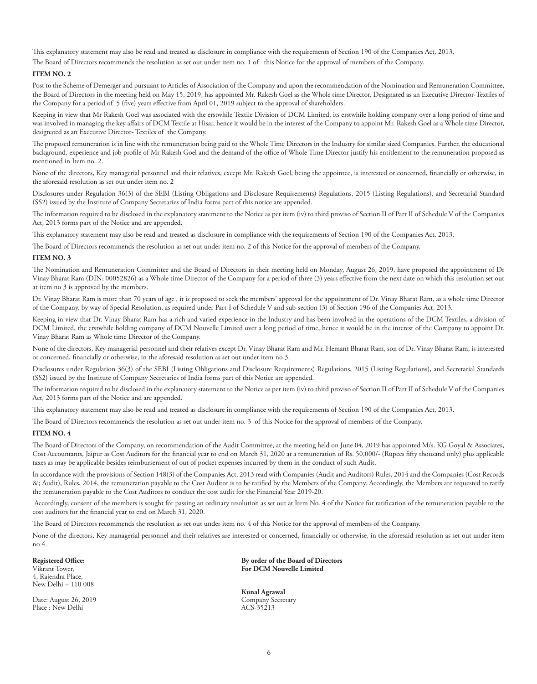This explanatory statement may also be read and treated as disclosure in compliance with the requirements of Section 190 of the Companies Act, 2013.

The Board of Directors recommends the resolution as set out under item no. 1 of this Notice for the approval of members of the Company.

#### **ITEM NO. 2**

Post to the Scheme of Demerger and pursuant to Articles of Association of the Company and upon the recommendation of the Nomination and Remuneration Committee, the Board of Directors in the meeting held on May 15, 2019, has appointed Mr. Rakesh Goel as the Whole time Director, Designated as an Executive Director-Textiles of the Company for a period of 5 (five) years effective from April 01, 2019 subject to the approval of shareholders.

Keeping in view that Mr Rakesh Goel was associated with the erstwhile Textile Division of DCM Limited, its erstwhile holding company over a long period of time and was involved in managing the key affairs of DCM Textile at Hisar, hence it would be in the interest of the Company to appoint Mr. Rakesh Goel as a Whole time Director, designated as an Executive Director- Textiles of the Company.

The proposed remuneration is in line with the remuneration being paid to the Whole Time Directors in the Industry for similar sized Companies. Further, the educational background, experience and job profile of Mr Rakesh Goel and the demand of the office of Whole Time Director justify his entitlement to the remuneration proposed as mentioned in Item no. 2.

None of the directors, Key managerial personnel and their relatives, except Mr. Rakesh Goel, being the appointee, is interested or concerned, financially or otherwise, in the aforesaid resolution as set out under item no. 2

Disclosures under Regulation 36(3) of the SEBI (Listing Obligations and Disclosure Requirements) Regulations, 2015 (Listing Regulations), and Secretarial Standard (SS2) issued by the Institute of Company Secretaries of India forms part of this notice are appended.

The information required to be disclosed in the explanatory statement to the Notice as per item (iv) to third proviso of Section II of Part II of Schedule V of the Companies Act, 2013 forms part of the Notice and are appended.

This explanatory statement may also be read and treated as disclosure in compliance with the requirements of Section 190 of the Companies Act, 2013.

The Board of Directors recommends the resolution as set out under item no. 2 of this Notice for the approval of members of the Company.

#### **ITEM NO. 3**

The Nomination and Remuneration Committee and the Board of Directors in their meeting held on Monday, August 26, 2019, have proposed the appointment of Dr Vinay Bharat Ram (DIN: 00052826) as a Whole time Director of the Company for a period of three (3) years effective from the next date on which this resolution set out at item no 3 is approved by the members.

Dr. Vinay Bharat Ram is more than 70 years of age , it is proposed to seek the members' approval for the appointment of Dr. Vinay Bharat Ram, as a whole time Director of the Company, by way of Special Resolution, as required under Part-I of Schedule V and sub-section (3) of Section 196 of the Companies Act, 2013.

Keeping in view that Dr. Vinay Bharat Ram has a rich and varied experience in the Industry and has been involved in the operations of the DCM Textiles, a division of DCM Limited, the erstwhile holding company of DCM Nouvelle Limited over a long period of time, hence it would be in the interest of the Company to appoint Dr. Vinay Bharat Ram as Whole time Director of the Company.

None of the directors, Key managerial personnel and their relatives except Dr. Vinay Bharat Ram and Mr. Hemant Bharat Ram, son of Dr. Vinay Bharat Ram, is interested or concerned, financially or otherwise, in the aforesaid resolution as set out under item no 3.

Disclosures under Regulation 36(3) of the SEBI (Listing Obligations and Disclosure Requirements) Regulations, 2015 (Listing Regulations), and Secretarial Standards (SS2) issued by the Institute of Company Secretaries of India forms part of this Notice are appended.

The information required to be disclosed in the explanatory statement to the Notice as per item (iv) to third proviso of Section II of Part II of Schedule V of the Companies Act, 2013 forms part of the Notice and are appended.

This explanatory statement may also be read and treated as disclosure in compliance with the requirements of Section 190 of the Companies Act, 2013.

The Board of Directors recommends the resolution as set out under item no. 3 of this Notice for the approval of members of the Company.

#### **ITEM NO. 4**

The Board of Directors of the Company, on recommendation of the Audit Committee, at the meeting held on June 04, 2019 has appointed M/s. KG Goyal & Associates, Cost Accountants, Jaipur as Cost Auditors for the financial year to end on March 31, 2020 at a remuneration of Rs. 50,000/- (Rupees fifty thousand only) plus applicable taxes as may be applicable besides reimbursement of out of pocket expenses incurred by them in the conduct of such Audit.

In accordance with the provisions of Section 148(3) of the Companies Act, 2013 read with Companies (Audit and Auditors) Rules, 2014 and the Companies (Cost Records &; Audit), Rules, 2014, the remuneration payable to the Cost Auditor is to be ratified by the Members of the Company. Accordingly, the Members are requested to ratify the remuneration payable to the Cost Auditors to conduct the cost audit for the Financial Year 2019-20.

 Accordingly, consent of the members is sought for passing an ordinary resolution as set out at Item No. 4 of the Notice for ratification of the remuneration payable to the cost auditors for the financial year to end on March 31, 2020.

The Board of Directors recommends the resolution as set out under item no. 4 of this Notice for the approval of members of the Company.

None of the directors, Key managerial personnel and their relatives are interested or concerned, financially or otherwise, in the aforesaid resolution as set out under item no 4.

## **Registered Office:**

Vikrant Tower, 4, Rajendra Place, New Delhi – 110 008

Date: August 26, 2019 Place : New Delhi

**By order of the Board of Directors For DCM Nouvelle Limited**

**Kunal Agrawal** Company Secretary ACS-35213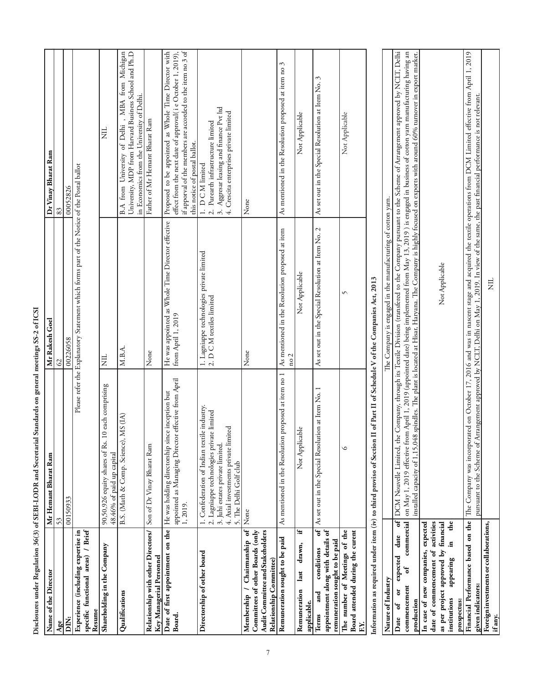|                                                                                                                                 | Disclosures under Regulation 36(3) of SEBI-LODR and Secretarial Standards on general meetings SS-2 of ICSI                                                                                      |                                                                                                                                                    |                                                                                                                                                                                                                                                                                                                                                                                                                                                                                                      |
|---------------------------------------------------------------------------------------------------------------------------------|-------------------------------------------------------------------------------------------------------------------------------------------------------------------------------------------------|----------------------------------------------------------------------------------------------------------------------------------------------------|------------------------------------------------------------------------------------------------------------------------------------------------------------------------------------------------------------------------------------------------------------------------------------------------------------------------------------------------------------------------------------------------------------------------------------------------------------------------------------------------------|
| Name of the Director                                                                                                            | Mr Hemant Bharat Ram                                                                                                                                                                            | Mr Rakesh Goel                                                                                                                                     | Dr Vinay Bharat Ram                                                                                                                                                                                                                                                                                                                                                                                                                                                                                  |
| Age                                                                                                                             | 53                                                                                                                                                                                              | S                                                                                                                                                  | 83                                                                                                                                                                                                                                                                                                                                                                                                                                                                                                   |
| Ë                                                                                                                               | 00150933                                                                                                                                                                                        | 00226058                                                                                                                                           | 00052826                                                                                                                                                                                                                                                                                                                                                                                                                                                                                             |
| specific functional areas) / Brief<br>Experience (including expertise in<br>Resume                                              |                                                                                                                                                                                                 | Please refer the Explanatory Statement which forms part of the Notice of the Postal ballot                                                         |                                                                                                                                                                                                                                                                                                                                                                                                                                                                                                      |
| Shareholding in the Company                                                                                                     | 90,50,926 equity shares of Rs. 10 each comprising<br>48.46% of paid up capital                                                                                                                  | Ë                                                                                                                                                  | Ë                                                                                                                                                                                                                                                                                                                                                                                                                                                                                                    |
| Qualifications                                                                                                                  | B.S. (Math & Comp. Science), MS (IA)                                                                                                                                                            | M.B.A.                                                                                                                                             | B.A from University of Delhi , MBA from Michigan<br>University, MDP from Harvard Business School and Ph.D<br>in Economics from the University of Delhi.                                                                                                                                                                                                                                                                                                                                              |
| Relationship with other Directors/<br>Key Managerial Personnel                                                                  | Son of Dr Vinay Bharat Ram                                                                                                                                                                      | None                                                                                                                                               | Father of Mr Hemant Bharat Ram                                                                                                                                                                                                                                                                                                                                                                                                                                                                       |
| Date of first appointment on the<br>Board.                                                                                      | irector effective from April<br>He was holding directorship since inception but<br>appointed as Managing Di<br>1, 2019.                                                                         | He was appointed as Whole Time Director effective<br>from April 1, 2019                                                                            | if apporval of the members are accorded to the item no 3 of<br>Proposed to be appointed as Whole Time Director with<br>effect from the next date of approval(ie October 1, 2019),<br>this notice of postal ballot.                                                                                                                                                                                                                                                                                   |
| Directorship of other board                                                                                                     | 1. Confederation of Indian textile industry.<br>2. Lagniappe technologies private limited<br>4. Axial investments private limited<br>3. Juhi estates private limited.<br>5. The Delhi Golf club | 1. Lagniappe technologies private limited<br>2. D C M textiles limited                                                                             | 3. Aggresar leasing and finance Pvt ltd<br>4. Crescita enterprises private limited<br>2. Purearth infrastructure limited<br>1. D C M limited                                                                                                                                                                                                                                                                                                                                                         |
| Membership / Chairmanship of<br>Audit Committee and Stakeholders<br>Committees of other Boards (only<br>Relationship Committee) | None                                                                                                                                                                                            | None                                                                                                                                               | None                                                                                                                                                                                                                                                                                                                                                                                                                                                                                                 |
| Remuneration sought to be paid                                                                                                  | As mentioned in the Resolution proposed at item no 1                                                                                                                                            | As mentioned in the Resolution proposed at item<br>$_{\rm no\,2}$                                                                                  | As mentioned in the Resolution proposed at item no 3                                                                                                                                                                                                                                                                                                                                                                                                                                                 |
| Ŧ.<br>drawn,<br>last<br>Remuneration<br>applicable.                                                                             | Not Applicable                                                                                                                                                                                  | Not Applicable                                                                                                                                     | Not Applicable                                                                                                                                                                                                                                                                                                                                                                                                                                                                                       |
| appointment along with details of<br>remuneration sought to be paid<br>conditions<br>and<br>Terms                               | of   As set out in the Special Resolution at Item No. 1                                                                                                                                         | As set out in the Special Resolution at Item No. 2                                                                                                 | As set out in the Special Resolution at Item No. 3                                                                                                                                                                                                                                                                                                                                                                                                                                                   |
| Board attended during the curent<br>The number of Meetings of the<br>EY.                                                        | $\circ$                                                                                                                                                                                         | 5                                                                                                                                                  | Not Applicable                                                                                                                                                                                                                                                                                                                                                                                                                                                                                       |
|                                                                                                                                 | Information as required under item (iv) to third proviso of Section II of Part II of Schedule V of the Companies Act, 2013                                                                      |                                                                                                                                                    |                                                                                                                                                                                                                                                                                                                                                                                                                                                                                                      |
| Nature of Industry                                                                                                              |                                                                                                                                                                                                 | The Company is engaged in the manufacturing of cotton yarn.                                                                                        |                                                                                                                                                                                                                                                                                                                                                                                                                                                                                                      |
| commercial<br>date<br>expected<br>of<br>commencement<br>ö<br>production<br>ზ.<br>Date                                           | $\overline{\mathbf{f}}$                                                                                                                                                                         |                                                                                                                                                    | DCM Nouvelle Limited, the Company, through its Textile Division (transfered to the Company pursuant to the Scheme of Arrangement approved by NCLT, Delhi<br>on May 1, 2019 effective from April 1, 2019 (appointed date) being implemented from May 13, 2019 ) is engaged in business of cotton yarn manufacturing having an<br>installed capacity of 1,15,048 spindles. The plant is located at Hisar, Haryana. The Company is highly focused on exports with around 60% turnover in export market. |
| date of commencement of activities<br>In case of new companies, expected                                                        |                                                                                                                                                                                                 |                                                                                                                                                    |                                                                                                                                                                                                                                                                                                                                                                                                                                                                                                      |
| as per project approved by financial<br>.s<br>appearing<br>institutions                                                         | $\mathbf{d}$                                                                                                                                                                                    | Not Applicable                                                                                                                                     |                                                                                                                                                                                                                                                                                                                                                                                                                                                                                                      |
| prospectus:                                                                                                                     |                                                                                                                                                                                                 |                                                                                                                                                    |                                                                                                                                                                                                                                                                                                                                                                                                                                                                                                      |
| given indicators:                                                                                                               |                                                                                                                                                                                                 | pursuant to the Scheme of Arrangement approved by NCLT, Delhi on May 1, 2019. In view of the same, the past financial performance is not relevant. | Financial Performance based on the   The Company was incorporated on October 17, 2016 and was in nascent stage and acquired the textile operations from DCM Limited effective from April 1, 2019                                                                                                                                                                                                                                                                                                     |
| Foreign investments or collaborations,<br>if any.                                                                               |                                                                                                                                                                                                 | Ë                                                                                                                                                  |                                                                                                                                                                                                                                                                                                                                                                                                                                                                                                      |

 $\overline{7}$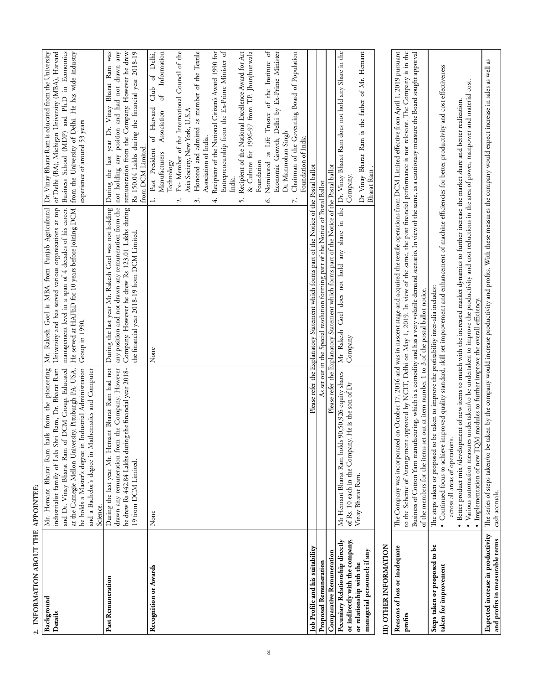| 2. INFORMATION ABOUT THE APPOINTEE:                                                                                            |                                                                                                                                                                                                                                                                                                                                                                                                                                                                                                                                                                                                                 |                                                                                                                                                                                                                                                                                                  |                                                                                                                                                                                                                                                                                                                                                                                                                                                                                                                                                                                                                                                                                                                                                                                      |
|--------------------------------------------------------------------------------------------------------------------------------|-----------------------------------------------------------------------------------------------------------------------------------------------------------------------------------------------------------------------------------------------------------------------------------------------------------------------------------------------------------------------------------------------------------------------------------------------------------------------------------------------------------------------------------------------------------------------------------------------------------------|--------------------------------------------------------------------------------------------------------------------------------------------------------------------------------------------------------------------------------------------------------------------------------------------------|--------------------------------------------------------------------------------------------------------------------------------------------------------------------------------------------------------------------------------------------------------------------------------------------------------------------------------------------------------------------------------------------------------------------------------------------------------------------------------------------------------------------------------------------------------------------------------------------------------------------------------------------------------------------------------------------------------------------------------------------------------------------------------------|
| Background<br>Details                                                                                                          | Mr. Hemant Bharat Ram hails from the pioneering<br>he holds a Master's degree in Industrial Administration<br>la Shri Ram, Dr. Bharat Ram<br>at the Carnegie Mellon University, Pittsburgh PA, USA,<br>and Dr. Vinay Bharat Ram of DCM Group. Educated<br>and a Bachelor's degree in Mathematics and Computer<br>industrialist family of Lal<br>Science.                                                                                                                                                                                                                                                        | Mr. Rakesh Goel is MBA from Punjab Agricultural Dr. Vinay Bharat Ram is educated from the University<br>University and has served various organizations at top<br>management level in a span of 4 decades of his career.<br>He served at HAFED for 10 years before joining DCM<br>Group in 1990. | Business School (MDP) and Ph.D in Economics<br>of Delhi (BA), Michigan University (MBA), Harvard<br>from the University of Delhi. He has wide industry<br>experience of around 53 years                                                                                                                                                                                                                                                                                                                                                                                                                                                                                                                                                                                              |
| Past Remuneration                                                                                                              | Hemant Bharat Ram had not<br>from the Company. However<br>he drew Rs 442.84 Lakhs during the financial year 2018-<br>drawn any remuneration<br>During the last year Mr.<br>19 from DCM Limited.                                                                                                                                                                                                                                                                                                                                                                                                                 | During the last year Mr. Rakesh Goel was not holding<br>Company. However he drew Rs 123.01 Lakhs during<br>any position and not drawn any remuneration from the<br>the financial year 2018-19 from DCM Limited.                                                                                  | During the last year Dr. Vinay Bharat Ram was<br>Rs 150.04 Lakhs during the financial year 2018-19<br>any<br>remuneration from the Company. However he drew<br>not holding any position and had not drawn<br>from DCM Limited.                                                                                                                                                                                                                                                                                                                                                                                                                                                                                                                                                       |
| Recognition or Awards                                                                                                          | None                                                                                                                                                                                                                                                                                                                                                                                                                                                                                                                                                                                                            | None                                                                                                                                                                                                                                                                                             | Entrepreneurship from the Ex-Prime Minister of<br>Nominated as Life Trustee of the Institute of<br>Recipient of the National Citizen's Award 1990 for<br>Recipient of the National Excellence Award for Art<br>Information<br>Ex- Member of the International Council of the<br>Honored and admired as member of the Textile<br>& Culture for 1996-97 from T.P. Jhunjhunwala<br>Club of Delhi,<br>Economic Growth, Delhi by Ex-Prime Minister<br>Chairman of the Governing Board of Population<br>ზ<br>of Harvard<br>Asia Society, New York, U.S.A<br>Association<br>Dr. Manmohan Singh<br>Association of India.<br>Foundation of India<br>1. Past President<br>Manufacturers<br>Technology<br>Foundation<br>India.<br>$\vec{r}$<br>3.<br>Ġ.<br>4.<br>5.<br>$\overline{\mathcal{C}}$ |
| Job Profile and his suitability                                                                                                |                                                                                                                                                                                                                                                                                                                                                                                                                                                                                                                                                                                                                 | Please refer the Explanatory Statement which forms part of the Notice of the Postal ballot                                                                                                                                                                                                       |                                                                                                                                                                                                                                                                                                                                                                                                                                                                                                                                                                                                                                                                                                                                                                                      |
| <b>Proposed Remuneration</b>                                                                                                   |                                                                                                                                                                                                                                                                                                                                                                                                                                                                                                                                                                                                                 | As set out in the Special resolution forming part of the Notice of Postal Ballot                                                                                                                                                                                                                 |                                                                                                                                                                                                                                                                                                                                                                                                                                                                                                                                                                                                                                                                                                                                                                                      |
| <b>Comparative Remuneration</b>                                                                                                |                                                                                                                                                                                                                                                                                                                                                                                                                                                                                                                                                                                                                 | Please refer the Explanatory Statement which forms part of the Notice of the Postal ballot                                                                                                                                                                                                       |                                                                                                                                                                                                                                                                                                                                                                                                                                                                                                                                                                                                                                                                                                                                                                                      |
| Pecuniary Relationship directly<br>or indirectly with the company,<br>managerial personnel; if any<br>or relationship with the | Mr Hemant Bharat Ram holds 90,50,926 equity shares<br>of Rs. 10 each in the Company. He is the son of Dr<br>Vinay Bharat Ram.                                                                                                                                                                                                                                                                                                                                                                                                                                                                                   | Mr Rakesh Goel does not hold any share in the Dr. Vinay Bharat Ram does not hold any Share in the<br>Company                                                                                                                                                                                     | Dr Vinay Bharat Ram is the father of Mr. Hemant<br>Bharat Ram<br>Company.                                                                                                                                                                                                                                                                                                                                                                                                                                                                                                                                                                                                                                                                                                            |
| III) OTHER INFORMATION                                                                                                         |                                                                                                                                                                                                                                                                                                                                                                                                                                                                                                                                                                                                                 |                                                                                                                                                                                                                                                                                                  |                                                                                                                                                                                                                                                                                                                                                                                                                                                                                                                                                                                                                                                                                                                                                                                      |
| Reasons of loss or inadequate<br>profits                                                                                       | The Company was incorporated on October 17, 2016 and was in nascent stage and acquired the textile operations from DCM Limited effective from April 1, 2019 pursuant<br>to the Scheme of Arrangement approved by NCLT, Delhi on May 1, 2019. In view of the same, the past financial performance is not relevant. The Company is in the<br>Business of Cotton Yarn manufacuring, which is a comodity and has a very volatile demand scenario. In view of the same, as a cautionary measure the Board sought apporval<br>of the members for the items set out at item number 1 to 3 of the postal ballot notice. |                                                                                                                                                                                                                                                                                                  |                                                                                                                                                                                                                                                                                                                                                                                                                                                                                                                                                                                                                                                                                                                                                                                      |
| Steps taken or proposed to be<br>taken for improvement                                                                         | • Continued focus to achieve improved quality standard, skill set improvement and enhancement of machine efficiencies for better productivity and cost effectiveness<br>The steps taken or proposed to be taken to improve the profitability inter-alia includes:                                                                                                                                                                                                                                                                                                                                               |                                                                                                                                                                                                                                                                                                  |                                                                                                                                                                                                                                                                                                                                                                                                                                                                                                                                                                                                                                                                                                                                                                                      |
|                                                                                                                                | · Various automation measures undertaken/to be undertaken to improve the productivity and cost reductions in the area of power, manpower and material cost.<br>· Better product mix /development of new items to match with the increased market dynamics to further increase the market share and better realization.<br>• Implementation of new TQM modules to further improve the overall efficiency.<br>across all areas of operations.                                                                                                                                                                     |                                                                                                                                                                                                                                                                                                  |                                                                                                                                                                                                                                                                                                                                                                                                                                                                                                                                                                                                                                                                                                                                                                                      |
| Expected increase in productivity<br>and profits in measurable terms                                                           | The series of steps taken/to be taken by the company would increase productivity and profits. With these measures the company would expect increase in sales as well as<br>cash accruals.                                                                                                                                                                                                                                                                                                                                                                                                                       |                                                                                                                                                                                                                                                                                                  |                                                                                                                                                                                                                                                                                                                                                                                                                                                                                                                                                                                                                                                                                                                                                                                      |

 $\overline{8}$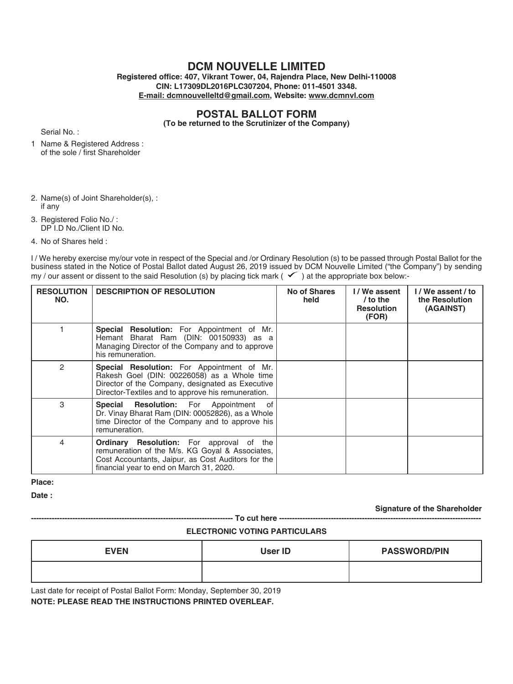# **DCM NOUVELLE LIMITED**

**Registered office: 407, Vikrant Tower, 04, Rajendra Place, New Delhi-110008 CIN: L17309DL2016PLC307204, Phone: 011-4501 3348. E-mail: dcmnouvelleltd@gmail.com, Website: www.dcmnvl.com**

# **POSTAL BALLOT FORM**

**(To be returned to the Scrutinizer of the Company)**

Serial No. :

- 1 Name & Registered Address : of the sole / first Shareholder
- 2. Name(s) of Joint Shareholder(s), : if any

3. Registered Folio No./ : DP I.D No./Client ID No.

4. No of Shares held :

I / We hereby exercise my/our vote in respect of the Special and /or Ordinary Resolution (s) to be passed through Postal Ballot for the business stated in the Notice of Postal Ballot dated August 26, 2019 issued by DCM Nouvelle Limited ("the Company") by sending my / our assent or dissent to the said Resolution (s) by placing tick mark ( $\checkmark$ ) at the appropriate box below:-

| <b>RESOLUTION</b><br>NO. | <b>DESCRIPTION OF RESOLUTION</b>                                                                                                                                                                           | No of Shares<br>held | I/We assent<br>/ to the<br><b>Resolution</b><br>(FOR) | I/We assent/to<br>the Resolution<br>(AGAINST) |
|--------------------------|------------------------------------------------------------------------------------------------------------------------------------------------------------------------------------------------------------|----------------------|-------------------------------------------------------|-----------------------------------------------|
|                          | <b>Special Resolution:</b> For Appointment of Mr.<br>Hemant Bharat Ram (DIN: 00150933) as a<br>Managing Director of the Company and to approve<br>his remuneration.                                        |                      |                                                       |                                               |
| $\mathfrak{p}$           | <b>Special Resolution:</b> For Appointment of Mr.<br>Rakesh Goel (DIN: 00226058) as a Whole time<br>Director of the Company, designated as Executive<br>Director-Textiles and to approve his remuneration. |                      |                                                       |                                               |
| 3                        | <b>Special Resolution:</b> For Appointment of<br>Dr. Vinay Bharat Ram (DIN: 00052826), as a Whole<br>time Director of the Company and to approve his<br>remuneration.                                      |                      |                                                       |                                               |
| 4                        | <b>Ordinary Resolution:</b> For approval of the<br>remuneration of the M/s. KG Goyal & Associates,<br>Cost Accountants, Jaipur, as Cost Auditors for the<br>financial year to end on March 31, 2020.       |                      |                                                       |                                               |

**Place:** 

**Date :**

**Signature of the Shareholder**

# **ELECTRONIC VOTING PARTICULARS**

**------------------------------------------------------------------------------ To cut here ------------------------------------------------------------------------------**

| <b>EVEN</b> | User ID | <b>PASSWORD/PIN</b> |
|-------------|---------|---------------------|
|             |         |                     |

Last date for receipt of Postal Ballot Form: Monday, September 30, 2019 **NOTE: PLEASE READ THE INSTRUCTIONS PRINTED OVERLEAF.**